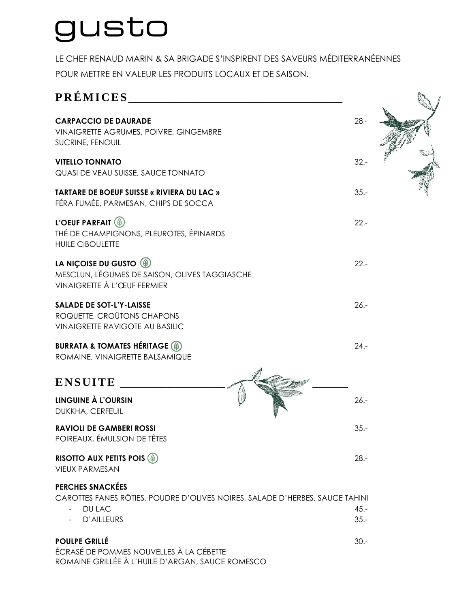## gusto

LE CHEF RENAUD MARIN & SA BRIGADE S'INSPIRENT DES SAVEURS MÉDITERRANÉENNES POUR METTRE EN VALEUR LES PRODUITS LOCAUX ET DE SAISON.

| PRÉMICES                                                                                                            |         |  |
|---------------------------------------------------------------------------------------------------------------------|---------|--|
| <b>CARPACCIO DE DAURADE</b><br><b>VINAIGRETTE AGRUMES, POIVRE, GINGEMBRE</b><br>SUCRINE, FENOUIL                    | 28.5    |  |
| <b>VITELLO TONNATO</b><br>QUASI DE VEAU SUISSE, SAUCE TONNATO                                                       | $32 -$  |  |
| <b>TARTARE DE BOEUF SUISSE « RIVIERA DU LAC »</b><br>FÉRA FUMÉE, PARMESAN, CHIPS DE SOCCA                           | $35. -$ |  |
| L'OEUF PARFAIT <sup>(4)</sup><br>THÉ DE CHAMPIGNONS, PLEUROTES, ÉPINARDS<br><b>HUILE CIBOULETTE</b>                 | $22 -$  |  |
| LA NIÇOISE DU GUSTO (4)<br>MESCLUN, LÉGUMES DE SAISON, OLIVES TAGGIASCHE<br>VINAIGRETTE À L'ŒUF FERMIER             | $22 -$  |  |
| <b>SALADE DE SOT-L'Y-LAISSE</b><br>ROQUETTE, CROÛTONS CHAPONS<br><b>VINAIGRETTE RAVIGOTE AU BASILIC</b>             | $26. -$ |  |
| <b>BURRATA &amp; TOMATES HÉRITAGE (4)</b><br>ROMAINE, VINAIGRETTE BALSAMIQUE                                        | $24. -$ |  |
| <b>ENSUITE</b>                                                                                                      |         |  |
| <b>LINGUINE À L'OURSIN</b><br>DUKKHA, CERFEUIL                                                                      | $26. -$ |  |
| <b>RAVIOLI DE GAMBERI ROSSI</b><br>POIREAUX, ÉMULSION DE TÊTES                                                      | $35 -$  |  |
| <b>RISOTTO AUX PETITS POIS (4)</b><br><b>VIEUX PARMESAN</b>                                                         | $28. -$ |  |
| <b>PERCHES SNACKÉES</b>                                                                                             |         |  |
| CAROTTES FANES RÔTIES, POUDRE D'OLIVES NOIRES, SALADE D'HERBES, SAUCE TAHINI<br>DU LAC                              | $45. -$ |  |
| D'AILLEURS                                                                                                          | $35 -$  |  |
| <b>POULPE GRILLÉ</b><br>ÉCRASÉ DE POMMES NOUVELLES À LA CÉBETTE<br>ROMAINE GRILLÉE À L'HUILE D'ARGAN, SAUCE ROMESCO | $30 -$  |  |